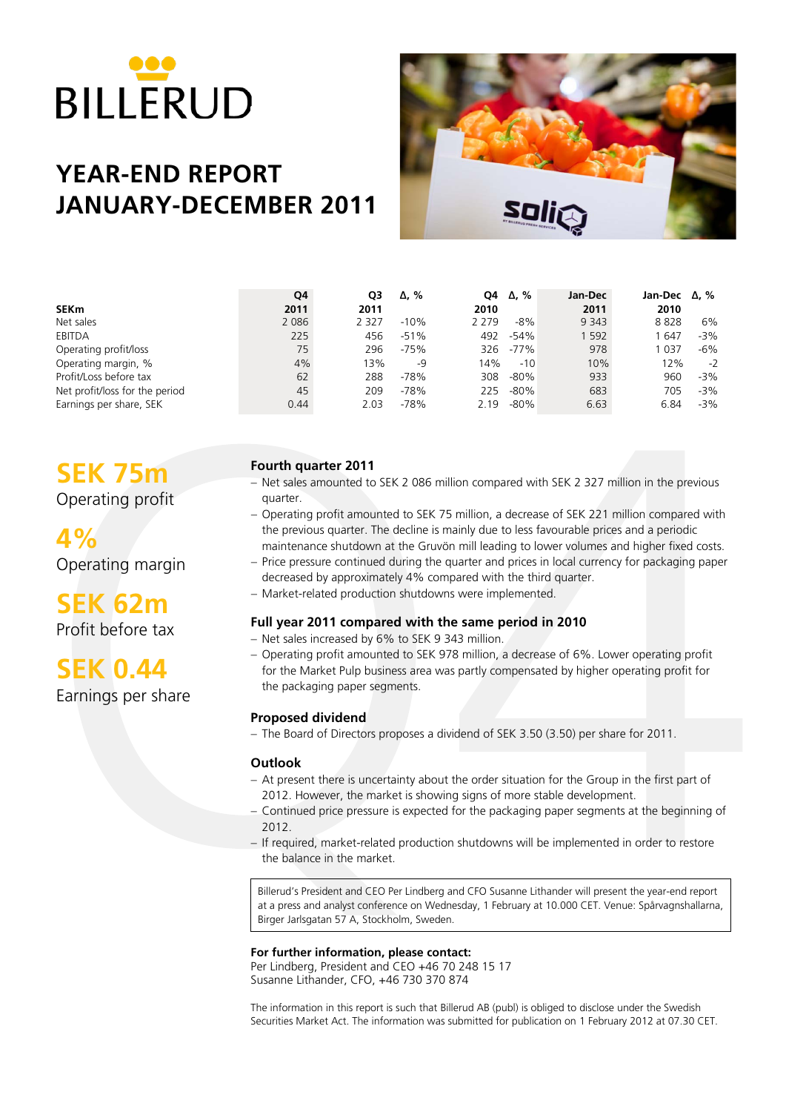

# **YEAR-END REPORT JANUARY-DECEMBER 2011**



|                                | Q4      | O3      | $\Delta$ , % | O4      | Δ. %   | Jan-Dec | Jan-Dec $\Delta$ , % |        |
|--------------------------------|---------|---------|--------------|---------|--------|---------|----------------------|--------|
| <b>SEKm</b>                    | 2011    | 2011    |              | 2010    |        | 2011    | 2010                 |        |
| Net sales                      | 2 0 8 6 | 2 3 2 7 | $-10%$       | 2 2 7 9 | $-8%$  | 9 3 4 3 | 8828                 | 6%     |
| EBITDA                         | 225     | 456     | $-51%$       | 492     | $-54%$ | 1 5 9 2 | l 647                | $-3%$  |
| Operating profit/loss          | 75      | 296     | $-75%$       | 326     | $-77%$ | 978     | 037                  | $-6\%$ |
| Operating margin, %            | 4%      | 13%     | -9           | 14%     | $-10$  | 10%     | 12%                  | $-2$   |
| Profit/Loss before tax         | 62      | 288     | $-78%$       | 308     | $-80%$ | 933     | 960                  | $-3%$  |
| Net profit/loss for the period | 45      | 209     | $-78%$       | 225     | $-80%$ | 683     | 705                  | $-3%$  |
| Earnings per share, SEK        | 0.44    | 2.03    | $-78%$       | 2.19    | $-80%$ | 6.63    | 6.84                 | $-3%$  |

# **SEK 75m**

Operating profit

**4%** Operating margin

**SEK 62m** Profit before tax

**SEK 0.44**

Earnings per share

### **Fourth quarter 2011**

- − Net sales amounted to SEK 2 086 million compared with SEK 2 327 million in the previous quarter.
- − Operating profit amounted to SEK 75 million, a decrease of SEK 221 million compared with the previous quarter. The decline is mainly due to less favourable prices and a periodic maintenance shutdown at the Gruvön mill leading to lower volumes and higher fixed costs.
- − Price pressure continued during the quarter and prices in local currency for packaging paper decreased by approximately 4% compared with the third quarter.
- − Market-related production shutdowns were implemented.

### **Full year 2011 compared with the same period in 2010**

- − Net sales increased by 6% to SEK 9 343 million.
- − Operating profit amounted to SEK 978 million, a decrease of 6%. Lower operating profit for the Market Pulp business area was partly compensated by higher operating profit for the packaging paper segments.

### **Proposed dividend**

− The Board of Directors proposes a dividend of SEK 3.50 (3.50) per share for 2011.

### **Outlook**

- − At present there is uncertainty about the order situation for the Group in the first part of 2012. However, the market is showing signs of more stable development.
- − Continued price pressure is expected for the packaging paper segments at the beginning of 2012.
- − If required, market-related production shutdowns will be implemented in order to restore the balance in the market.

Billerud's President and CEO Per Lindberg and CFO Susanne Lithander will present the year-end report at a press and analyst conference on Wednesday, 1 February at 10.000 CET. Venue: Spårvagnshallarna, Birger Jarlsgatan 57 A, Stockholm, Sweden.

**For further information, please contact:** Per Lindberg, President and CEO +46 70 248 15 17 Susanne Lithander, CFO, +46 730 370 874

The information in this report is such that Billerud AB (publ) is obliged to disclose under the Swedish Securities Market Act. The information was submitted for publication on 1 February 2012 at 07.30 CET.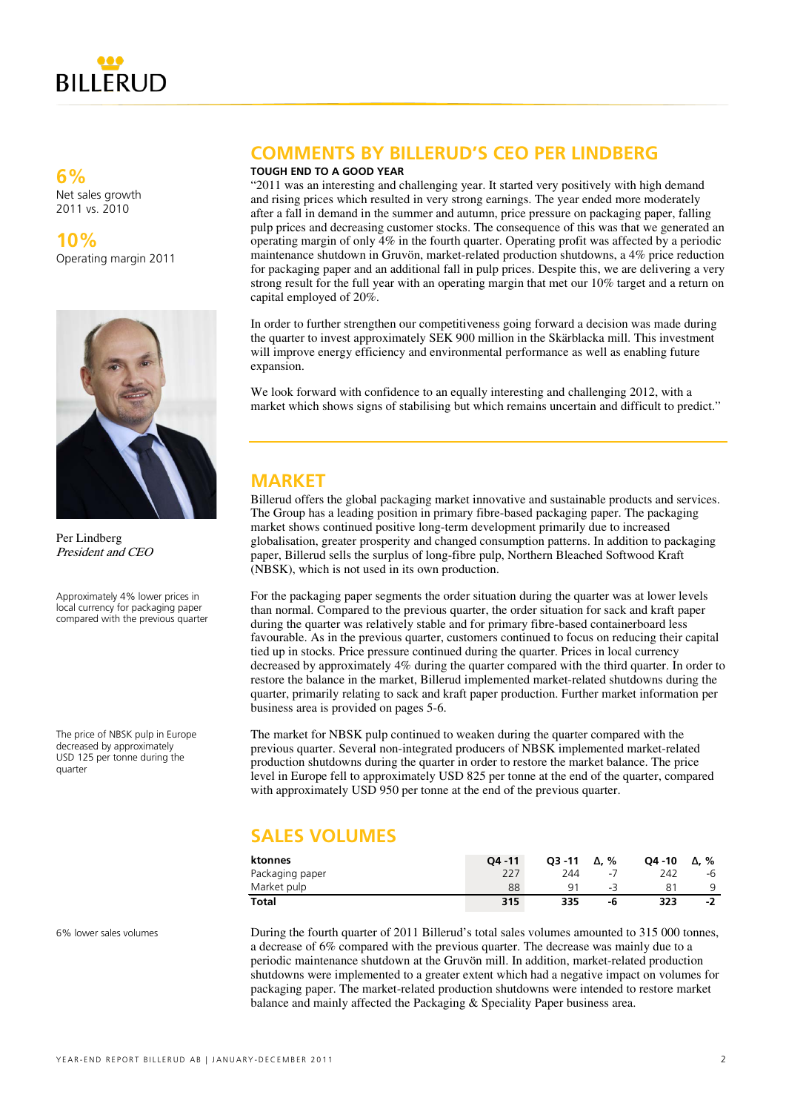

**6%** Net sales growth 2011 vs. 2010

**10%** Operating margin 2011



Per Lindberg President and CEO

Approximately 4% lower prices in local currency for packaging paper compared with the previous quarter

The price of NBSK pulp in Europe decreased by approximately USD 125 per tonne during the quarter

# **COMMENTS BY BILLERUD'S CEO PER LINDBERG**

#### **TOUGH END TO A GOOD YEAR**

"2011 was an interesting and challenging year. It started very positively with high demand and rising prices which resulted in very strong earnings. The year ended more moderately after a fall in demand in the summer and autumn, price pressure on packaging paper, falling pulp prices and decreasing customer stocks. The consequence of this was that we generated an operating margin of only  $4\%$  in the fourth quarter. Operating profit was affected by a periodic maintenance shutdown in Gruvön, market-related production shutdowns, a 4% price reduction for packaging paper and an additional fall in pulp prices. Despite this, we are delivering a very strong result for the full year with an operating margin that met our 10% target and a return on capital employed of 20%.

In order to further strengthen our competitiveness going forward a decision was made during the quarter to invest approximately SEK 900 million in the Skärblacka mill. This investment will improve energy efficiency and environmental performance as well as enabling future expansion.

We look forward with confidence to an equally interesting and challenging 2012, with a market which shows signs of stabilising but which remains uncertain and difficult to predict."

### **MARKET**

Billerud offers the global packaging market innovative and sustainable products and services. The Group has a leading position in primary fibre-based packaging paper. The packaging market shows continued positive long-term development primarily due to increased globalisation, greater prosperity and changed consumption patterns. In addition to packaging paper, Billerud sells the surplus of long-fibre pulp, Northern Bleached Softwood Kraft (NBSK), which is not used in its own production.

For the packaging paper segments the order situation during the quarter was at lower levels than normal. Compared to the previous quarter, the order situation for sack and kraft paper during the quarter was relatively stable and for primary fibre-based containerboard less favourable. As in the previous quarter, customers continued to focus on reducing their capital tied up in stocks. Price pressure continued during the quarter. Prices in local currency decreased by approximately 4% during the quarter compared with the third quarter. In order to restore the balance in the market, Billerud implemented market-related shutdowns during the quarter, primarily relating to sack and kraft paper production. Further market information per business area is provided on pages 5-6.

The market for NBSK pulp continued to weaken during the quarter compared with the previous quarter. Several non-integrated producers of NBSK implemented market-related production shutdowns during the quarter in order to restore the market balance. The price level in Europe fell to approximately USD 825 per tonne at the end of the quarter, compared with approximately USD 950 per tonne at the end of the previous quarter.

# **SALES VOLUMES**

| ktonnes         | $04 - 11$ | $O3 - 11$      | Δ. %             | O4 -10 | Δ. % |
|-----------------|-----------|----------------|------------------|--------|------|
| Packaging paper | 227       | 244            | $\sim$ $\lambda$ | 242    | -b   |
| Market pulp     | 88        | Q <sub>1</sub> | - 3              |        |      |
| Total           | 315       | 335            | -6               | 323    | -2   |

6% lower sales volumes

During the fourth quarter of 2011 Billerud's total sales volumes amounted to 315 000 tonnes, a decrease of 6% compared with the previous quarter. The decrease was mainly due to a periodic maintenance shutdown at the Gruvön mill. In addition, market-related production shutdowns were implemented to a greater extent which had a negative impact on volumes for packaging paper. The market-related production shutdowns were intended to restore market balance and mainly affected the Packaging & Speciality Paper business area.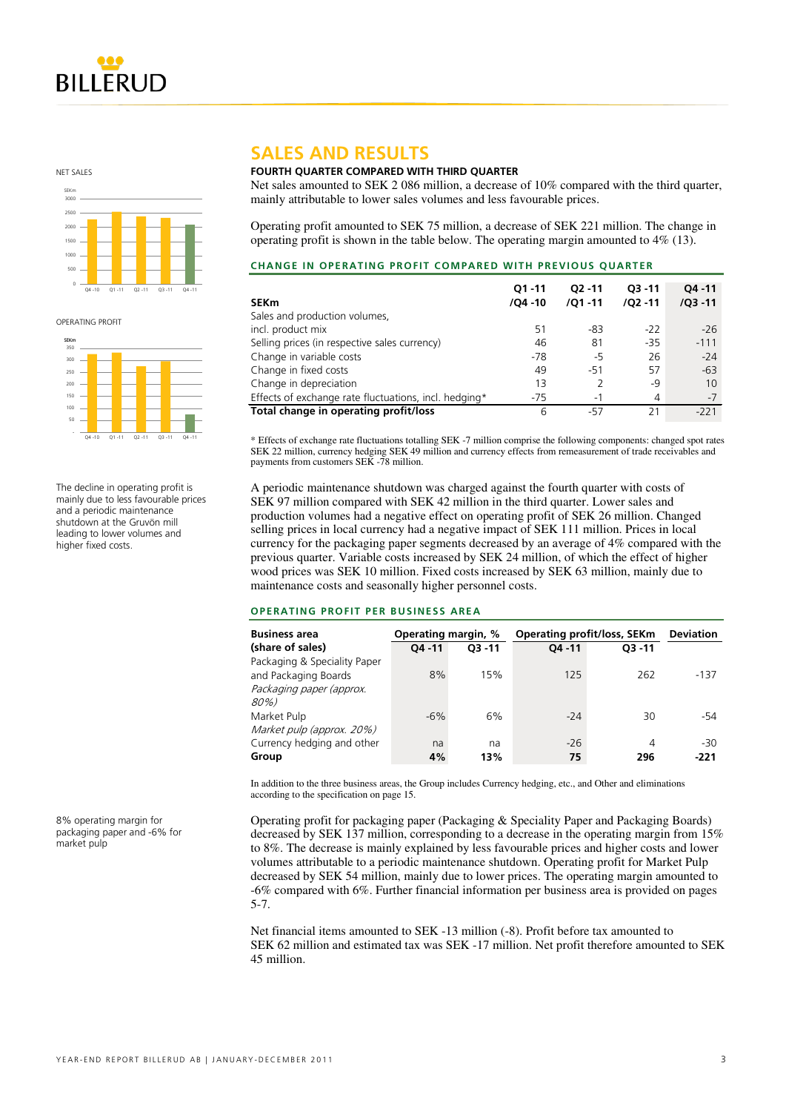

NET SALES



**OPERATING PROFIT** 



The decline in operating profit is mainly due to less favourable prices and a periodic maintenance shutdown at the Gruvön mill leading to lower volumes and higher fixed costs.

8% operating margin for packaging paper and -6% for market pulp

### **SALES AND RESULTS**

### **FOURTH QUARTER COMPARED WITH THIRD QUARTER**

Net sales amounted to SEK 2 086 million, a decrease of 10% compared with the third quarter. mainly attributable to lower sales volumes and less favourable prices.

Operating profit amounted to SEK 75 million, a decrease of SEK 221 million. The change in operating profit is shown in the table below. The operating margin amounted to 4% (13).

| <b>CHANGE IN OPERATING PROFIT COMPARED WITH PREVIOUS QUARTER</b> |  |  |  |
|------------------------------------------------------------------|--|--|--|
|                                                                  |  |  |  |

| <b>SEKm</b>                                           | $O1 - 11$<br>$/04 - 10$ | $O2 - 11$<br>$/01 - 11$ | $O3 - 11$<br>$/02 - 11$ | $04 - 11$<br>$/Q3 - 11$ |
|-------------------------------------------------------|-------------------------|-------------------------|-------------------------|-------------------------|
| Sales and production volumes,                         |                         |                         |                         |                         |
| incl. product mix                                     | 51                      | -83                     | $-22$                   | $-26$                   |
| Selling prices (in respective sales currency)         | 46                      | 81                      | $-35$                   | $-111$                  |
| Change in variable costs                              | $-78$                   | -5                      | 26                      | $-24$                   |
| Change in fixed costs                                 | 49                      | $-51$                   | 57                      | $-63$                   |
| Change in depreciation                                | 13                      |                         | -9                      | 10                      |
| Effects of exchange rate fluctuations, incl. hedging* | $-75$                   | $-1$                    | 4                       | $-7$                    |
| Total change in operating profit/loss                 | 6                       | -57                     | 21                      | $-221$                  |

\* Effects of exchange rate fluctuations totalling SEK -7 million comprise the following components: changed spot rates SEK 22 million, currency hedging SEK 49 million and currency effects from remeasurement of trade receivables and payments from customers SEK -78 million.

A periodic maintenance shutdown was charged against the fourth quarter with costs of SEK 97 million compared with SEK 42 million in the third quarter. Lower sales and production volumes had a negative effect on operating profit of SEK 26 million. Changed selling prices in local currency had a negative impact of SEK 111 million. Prices in local currency for the packaging paper segments decreased by an average of 4% compared with the previous quarter. Variable costs increased by SEK 24 million, of which the effect of higher wood prices was SEK 10 million. Fixed costs increased by SEK 63 million, mainly due to maintenance costs and seasonally higher personnel costs.

#### **OPERATING PROFIT PER BUSINESS AREA**

| <b>Business area</b>         | Operating margin, % |           | <b>Operating profit/loss, SEKm</b> | <b>Deviation</b> |        |
|------------------------------|---------------------|-----------|------------------------------------|------------------|--------|
| (share of sales)             | $04 - 11$           | $O3 - 11$ | $04 - 11$                          | $O3 - 11$        |        |
| Packaging & Speciality Paper |                     |           |                                    |                  |        |
| and Packaging Boards         | 8%                  | 15%       | 125                                | 262              | $-137$ |
| Packaging paper (approx.     |                     |           |                                    |                  |        |
| 80%)                         |                     |           |                                    |                  |        |
| Market Pulp                  | $-6\%$              | 6%        | $-24$                              | 30               | -54    |
| Market pulp (approx. 20%)    |                     |           |                                    |                  |        |
| Currency hedging and other   | na                  | na        | $-26$                              | 4                | $-30$  |
| Group                        | 4%                  | 13%       | 75                                 | 296              | -221   |

In addition to the three business areas, the Group includes Currency hedging, etc., and Other and eliminations according to the specification on page 15.

Operating profit for packaging paper (Packaging & Speciality Paper and Packaging Boards) decreased by SEK 137 million, corresponding to a decrease in the operating margin from 15% to 8%. The decrease is mainly explained by less favourable prices and higher costs and lower volumes attributable to a periodic maintenance shutdown. Operating profit for Market Pulp decreased by SEK 54 million, mainly due to lower prices. The operating margin amounted to -6% compared with 6%. Further financial information per business area is provided on pages 5-7.

Net financial items amounted to SEK -13 million (-8). Profit before tax amounted to SEK 62 million and estimated tax was SEK -17 million. Net profit therefore amounted to SEK 45 million.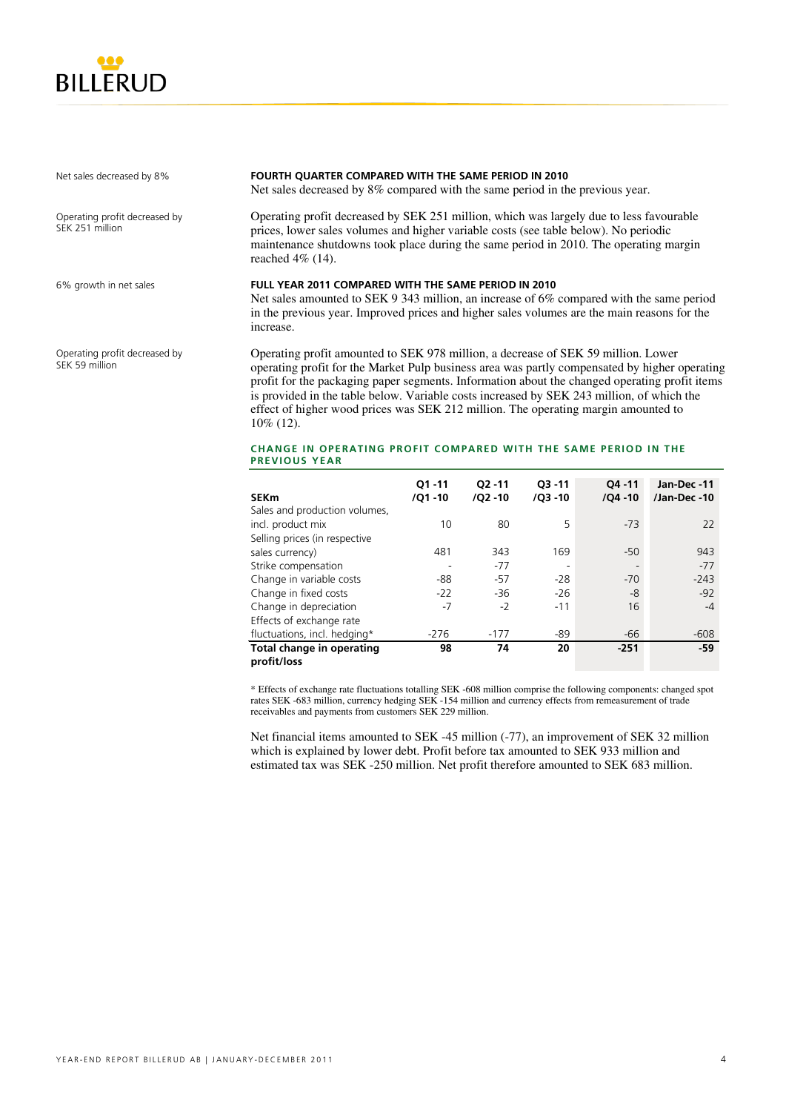

Net sales decreased by 8%

Operating profit decreased by SEK 251 million

6% growth in net sales

Operating profit decreased by SEK 59 million

#### **FOURTH QUARTER COMPARED WITH THE SAME PERIOD IN 2010**

Net sales decreased by 8% compared with the same period in the previous year.

Operating profit decreased by SEK 251 million, which was largely due to less favourable prices, lower sales volumes and higher variable costs (see table below). No periodic maintenance shutdowns took place during the same period in 2010. The operating margin reached 4% (14).

#### **FULL YEAR 2011 COMPARED WITH THE SAME PERIOD IN 2010**

Net sales amounted to SEK 9 343 million, an increase of 6% compared with the same period in the previous year. Improved prices and higher sales volumes are the main reasons for the increase.

Operating profit amounted to SEK 978 million, a decrease of SEK 59 million. Lower operating profit for the Market Pulp business area was partly compensated by higher operating profit for the packaging paper segments. Information about the changed operating profit items is provided in the table below. Variable costs increased by SEK 243 million, of which the effect of higher wood prices was SEK 212 million. The operating margin amounted to 10% (12).

#### **CHANGE IN OPERATING PROFIT COMPARED WITH THE SAME PERIOD IN THE PREVIOUS YEAR**

|                               | $O1 - 11$  | $O2 - 11$ | $Q3 - 11$                | $04 - 11$                | Jan-Dec-11  |
|-------------------------------|------------|-----------|--------------------------|--------------------------|-------------|
| <b>SEKm</b>                   | $/01 - 10$ | /Q2 -10   | $/Q3 - 10$               | $/04 - 10$               | /Jan-Dec-10 |
| Sales and production volumes, |            |           |                          |                          |             |
| incl. product mix             | 10         | 80        | 5                        | $-73$                    | 22          |
| Selling prices (in respective |            |           |                          |                          |             |
| sales currency)               | 481        | 343       | 169                      | $-50$                    | 943         |
| Strike compensation           |            | $-77$     | $\overline{\phantom{a}}$ | $\overline{\phantom{0}}$ | $-77$       |
| Change in variable costs      | -88        | $-57$     | $-28$                    | $-70$                    | $-243$      |
| Change in fixed costs         | $-22$      | $-36$     | $-26$                    | -8                       | $-92$       |
| Change in depreciation        | $-7$       | $-2$      | $-11$                    | 16                       | $-4$        |
| Effects of exchange rate      |            |           |                          |                          |             |
| fluctuations, incl. hedging*  | $-276$     | $-177$    | -89                      | -66                      | $-608$      |
| Total change in operating     | 98         | 74        | 20                       | $-251$                   | $-59$       |
| profit/loss                   |            |           |                          |                          |             |

\* Effects of exchange rate fluctuations totalling SEK -608 million comprise the following components: changed spot rates SEK -683 million, currency hedging SEK -154 million and currency effects from remeasurement of trade receivables and payments from customers SEK 229 million.

Net financial items amounted to SEK -45 million (-77), an improvement of SEK 32 million which is explained by lower debt. Profit before tax amounted to SEK 933 million and estimated tax was SEK -250 million. Net profit therefore amounted to SEK 683 million.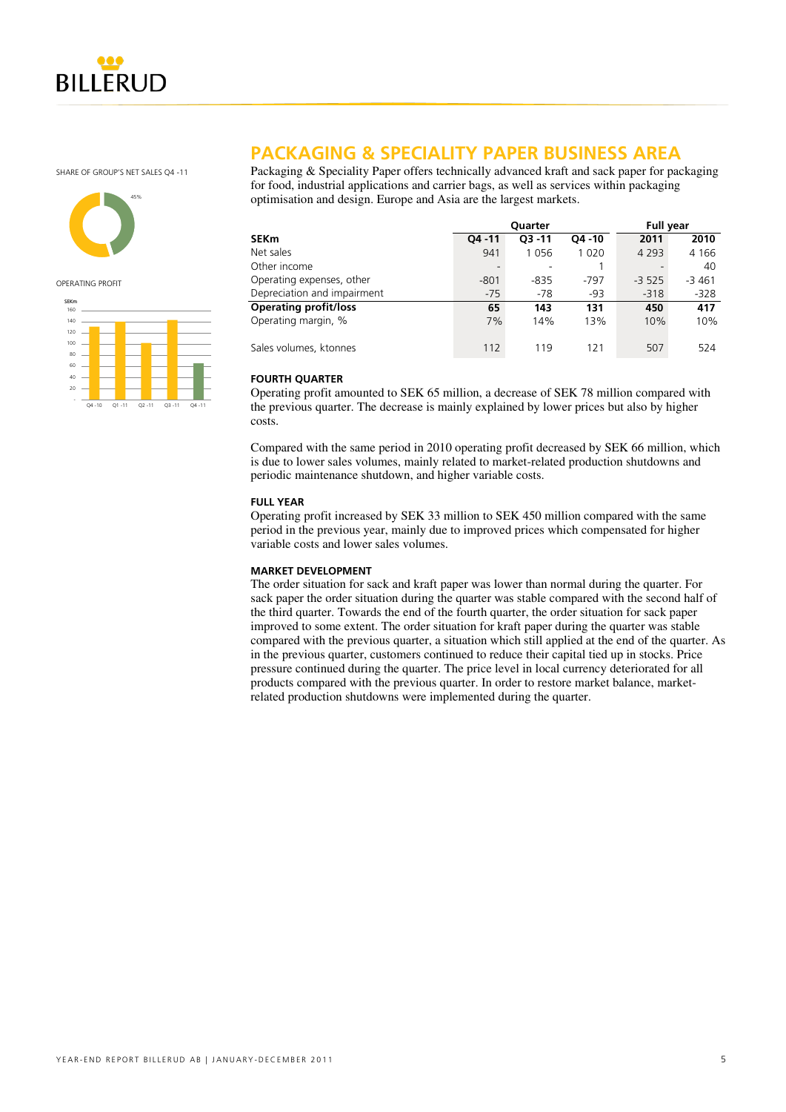

SHARE OF GROUP'S NET SALES OA -11



OPERATING PROFIT



### **PACKAGING & SPECIALITY PAPER BUSINESS AREA**

Packaging & Speciality Paper offers technically advanced kraft and sack paper for packaging for food, industrial applications and carrier bags, as well as services within packaging optimisation and design. Europe and Asia are the largest markets.

|                              |           | <b>Ouarter</b> | <b>Full year</b> |         |         |
|------------------------------|-----------|----------------|------------------|---------|---------|
| <b>SEKm</b>                  | $04 - 11$ | $O3 - 11$      | $O4 - 10$        | 2011    | 2010    |
| Net sales                    | 941       | 1056           | 1 0 2 0          | 4 2 9 3 | 4 1 6 6 |
| Other income                 |           |                |                  |         | 40      |
| Operating expenses, other    | $-801$    | $-835$         | $-797$           | $-3525$ | $-3461$ |
| Depreciation and impairment  | $-75$     | $-78$          | $-93$            | $-318$  | $-328$  |
| <b>Operating profit/loss</b> | 65        | 143            | 131              | 450     | 417     |
| Operating margin, %          | 7%        | 14%            | 13%              | 10%     | 10%     |
| Sales volumes, ktonnes       | 112       | 119            | 121              | 507     | 524     |

### **FOURTH QUARTER**

Operating profit amounted to SEK 65 million, a decrease of SEK 78 million compared with the previous quarter. The decrease is mainly explained by lower prices but also by higher costs.

Compared with the same period in 2010 operating profit decreased by SEK 66 million, which is due to lower sales volumes, mainly related to market-related production shutdowns and periodic maintenance shutdown, and higher variable costs.

### **FULL YEAR**

Operating profit increased by SEK 33 million to SEK 450 million compared with the same period in the previous year, mainly due to improved prices which compensated for higher variable costs and lower sales volumes.

### **MARKET DEVELOPMENT**

The order situation for sack and kraft paper was lower than normal during the quarter. For sack paper the order situation during the quarter was stable compared with the second half of the third quarter. Towards the end of the fourth quarter, the order situation for sack paper improved to some extent. The order situation for kraft paper during the quarter was stable compared with the previous quarter, a situation which still applied at the end of the quarter. As in the previous quarter, customers continued to reduce their capital tied up in stocks. Price pressure continued during the quarter. The price level in local currency deteriorated for all products compared with the previous quarter. In order to restore market balance, marketrelated production shutdowns were implemented during the quarter.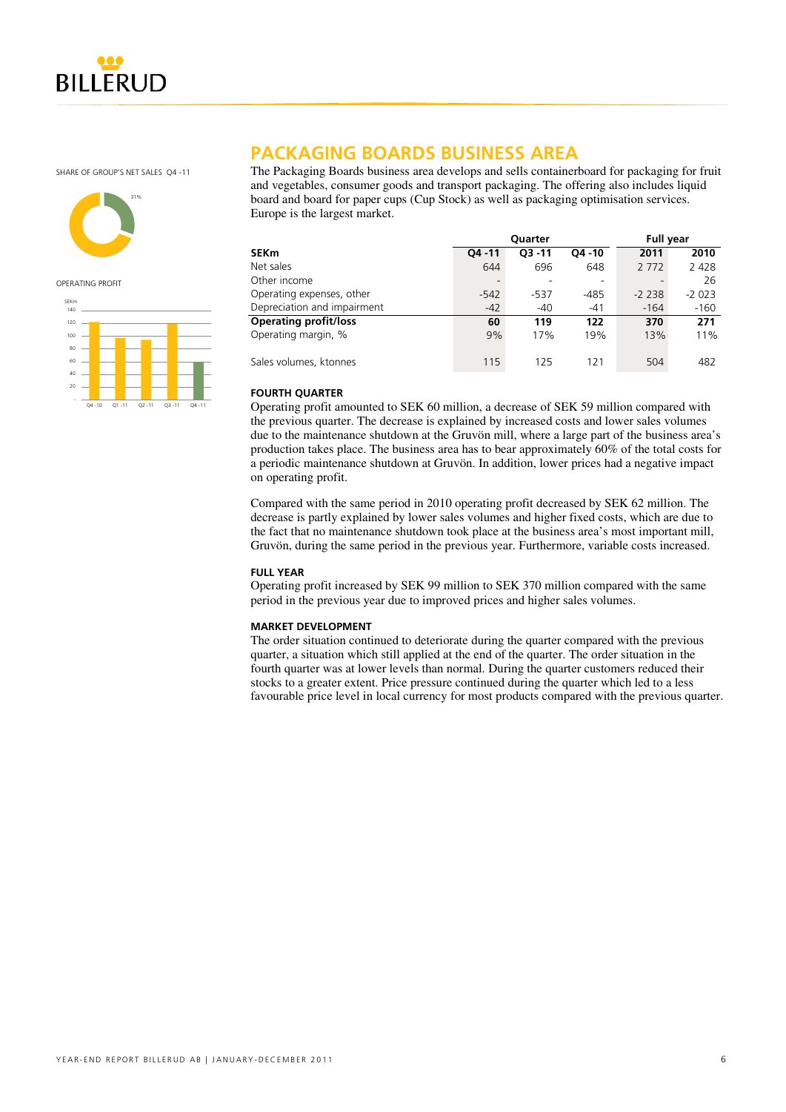

SHARE OF GROUP'S NET SALES O4 -11



OPERATING PROFIT



## **PACKAGING BOARDS BUSINESS AREA**

The Packaging Boards business area develops and sells containerboard for packaging for fruit and vegetables, consumer goods and transport packaging. The offering also includes liquid board and board for paper cups (Cup Stock) as well as packaging optimisation services. Europe is the largest market.

|                              |           | Quarter   |           | <b>Full year</b> |         |  |
|------------------------------|-----------|-----------|-----------|------------------|---------|--|
| SEKm                         | $04 - 11$ | $O3 - 11$ | $O4 - 10$ | 2011             | 2010    |  |
| Net sales                    | 644       | 696       | 648       | 2 7 7 2          | 2 4 2 8 |  |
| Other income                 |           |           |           |                  | 26      |  |
| Operating expenses, other    | $-542$    | $-537$    | $-485$    | $-2238$          | $-2023$ |  |
| Depreciation and impairment  | $-42$     | $-40$     | $-41$     | $-164$           | $-160$  |  |
| <b>Operating profit/loss</b> | 60        | 119       | 122       | 370              | 271     |  |
| Operating margin, %          | 9%        | 17%       | 19%       | 13%              | 11%     |  |
| Sales volumes, ktonnes       | 115       | 125       | 121       | 504              | 482     |  |

### **FOURTH QUARTER**

Operating profit amounted to SEK 60 million, a decrease of SEK 59 million compared with the previous quarter. The decrease is explained by increased costs and lower sales volumes due to the maintenance shutdown at the Gruvön mill, where a large part of the business area's production takes place. The business area has to bear approximately 60% of the total costs for a periodic maintenance shutdown at Gruvön. In addition, lower prices had a negative impact on operating profit.

Compared with the same period in 2010 operating profit decreased by SEK 62 million. The decrease is partly explained by lower sales volumes and higher fixed costs, which are due to the fact that no maintenance shutdown took place at the business area's most important mill, Gruvön, during the same period in the previous year. Furthermore, variable costs increased.

### **FULL YEAR**

Operating profit increased by SEK 99 million to SEK 370 million compared with the same period in the previous year due to improved prices and higher sales volumes.

### **MARKET DEVELOPMENT**

The order situation continued to deteriorate during the quarter compared with the previous quarter, a situation which still applied at the end of the quarter. The order situation in the fourth quarter was at lower levels than normal. During the quarter customers reduced their stocks to a greater extent. Price pressure continued during the quarter which led to a less favourable price level in local currency for most products compared with the previous quarter.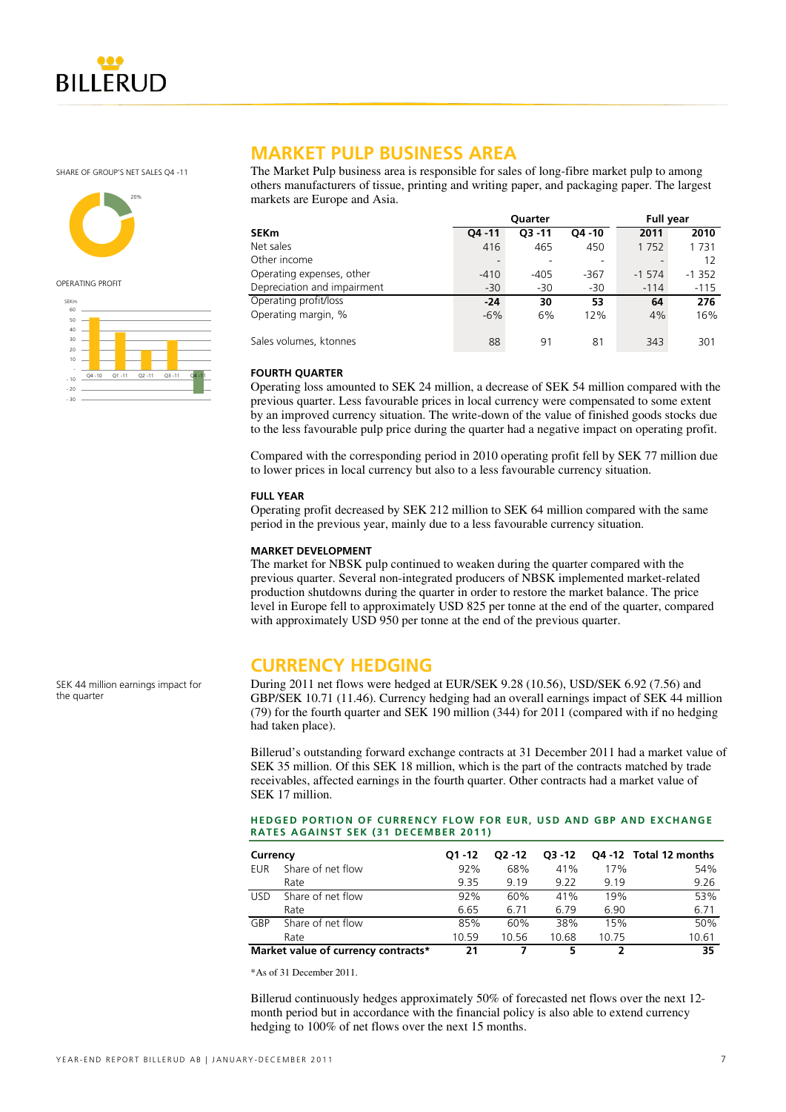

SHARE OF GROUP'S NET SALES OA -11



OPERATING PROFIT



### **MARKET PULP BUSINESS AREA**

The Market Pulp business area is responsible for sales of long-fibre market pulp to among others manufacturers of tissue, printing and writing paper, and packaging paper. The largest markets are Europe and Asia.

|                             |           | Quarter   | <b>Full year</b> |         |         |
|-----------------------------|-----------|-----------|------------------|---------|---------|
| <b>SEKm</b>                 | $04 - 11$ | $O3 - 11$ | $O4 - 10$        | 2011    | 2010    |
| Net sales                   | 416       | 465       | 450              | 1752    | 1731    |
| Other income                |           |           |                  |         | 12      |
| Operating expenses, other   | $-410$    | $-405$    | -367             | $-1574$ | $-1352$ |
| Depreciation and impairment | $-30$     | $-30$     | $-30$            | $-114$  | $-115$  |
| Operating profit/loss       | $-24$     | 30        | 53               | 64      | 276     |
| Operating margin, %         | $-6%$     | 6%        | 12%              | 4%      | 16%     |
| Sales volumes, ktonnes      | 88        | 91        | 81               | 343     | 301     |

### **FOURTH QUARTER**

Operating loss amounted to SEK 24 million, a decrease of SEK 54 million compared with the previous quarter. Less favourable prices in local currency were compensated to some extent by an improved currency situation. The write-down of the value of finished goods stocks due to the less favourable pulp price during the quarter had a negative impact on operating profit.

Compared with the corresponding period in 2010 operating profit fell by SEK 77 million due to lower prices in local currency but also to a less favourable currency situation.

### **FULL YEAR**

Operating profit decreased by SEK 212 million to SEK 64 million compared with the same period in the previous year, mainly due to a less favourable currency situation.

#### **MARKET DEVELOPMENT**

The market for NBSK pulp continued to weaken during the quarter compared with the previous quarter. Several non-integrated producers of NBSK implemented market-related production shutdowns during the quarter in order to restore the market balance. The price level in Europe fell to approximately USD 825 per tonne at the end of the quarter, compared with approximately USD 950 per tonne at the end of the previous quarter.

### **CURRENCY HEDGING**

During 2011 net flows were hedged at EUR/SEK 9.28 (10.56), USD/SEK 6.92 (7.56) and GBP/SEK 10.71 (11.46). Currency hedging had an overall earnings impact of SEK 44 million (79) for the fourth quarter and SEK 190 million (344) for 2011 (compared with if no hedging had taken place).

Billerud's outstanding forward exchange contracts at 31 December 2011 had a market value of SEK 35 million. Of this SEK 18 million, which is the part of the contracts matched by trade receivables, affected earnings in the fourth quarter. Other contracts had a market value of SEK 17 million.

#### **HEDGED PORTION OF CURRENCY FLOW FOR EUR, USD AND GBP AND EXCHANGE RATES AGAINST SEK (31 DECEMBER 2011)**

| Currency   |                                     | $O1 - 12$ | $02 - 12$ | $O3 - 12$ |       | Q4 -12 Total 12 months |
|------------|-------------------------------------|-----------|-----------|-----------|-------|------------------------|
| EUR.       | Share of net flow                   | 92%       | 68%       | 41%       | 17%   | 54%                    |
|            | Rate                                | 9.35      | 9.19      | 9.22      | 9.19  | 9.26                   |
| <b>USD</b> | Share of net flow                   | 92%       | 60%       | 41%       | 19%   | 53%                    |
|            | Rate                                | 6.65      | 6.71      | 6.79      | 6.90  | 6.71                   |
| GBP        | Share of net flow                   | 85%       | 60%       | 38%       | 15%   | 50%                    |
|            | Rate                                | 10.59     | 10.56     | 10.68     | 10.75 | 10.61                  |
|            | Market value of currency contracts* | 21        |           | 5         |       | 35                     |

\*As of 31 December 2011.

Billerud continuously hedges approximately 50% of forecasted net flows over the next 12 month period but in accordance with the financial policy is also able to extend currency hedging to 100% of net flows over the next 15 months.

SEK 44 million earnings impact for the quarter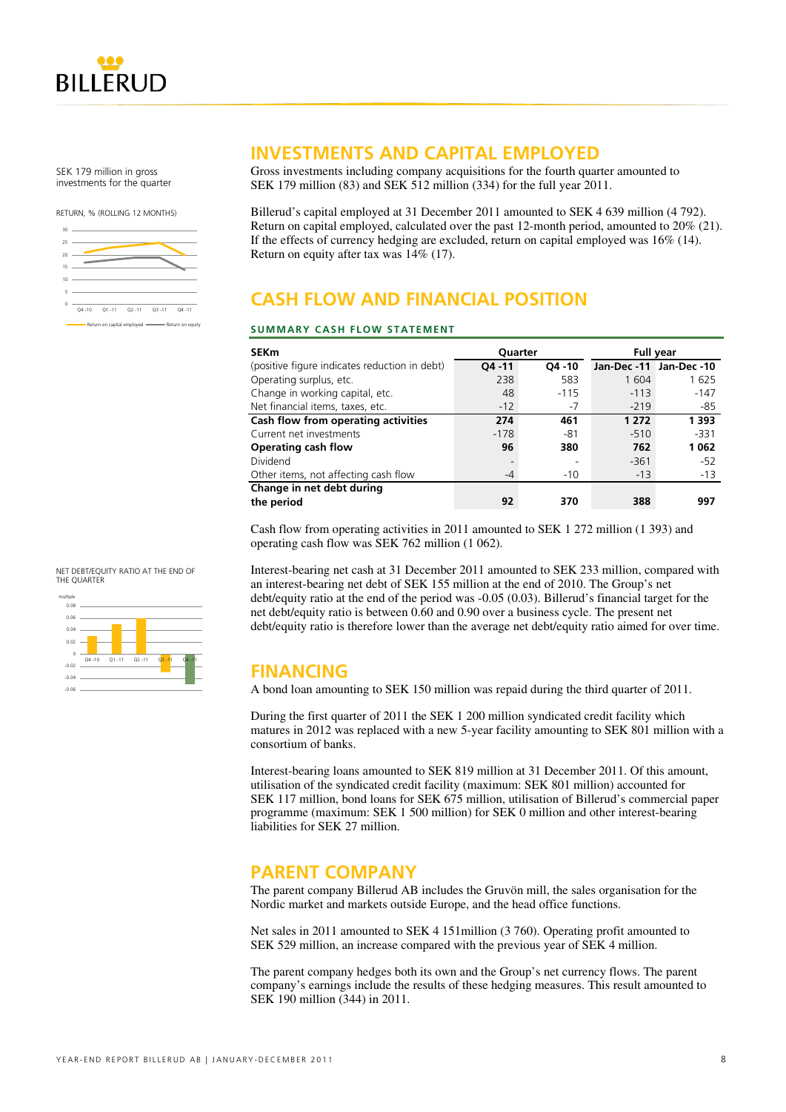

SEK 179 million in gross investments for the quarter

RETURN, % (ROLLING 12 MONTHS)



### **INVESTMENTS AND CAPITAL EMPLOYED**

Gross investments including company acquisitions for the fourth quarter amounted to SEK 179 million (83) and SEK 512 million (334) for the full year 2011.

Billerud's capital employed at 31 December 2011 amounted to SEK 4 639 million (4 792). Return on capital employed, calculated over the past 12-month period, amounted to 20% (21). If the effects of currency hedging are excluded, return on capital employed was 16% (14). Return on equity after tax was 14% (17).

# **CASH FLOW AND FINANCIAL POSITION**

#### **SUMMARY CASH FLOW STATEMENT**

| <b>SEKm</b>                                   | <b>Ouarter</b> |           | <b>Full year</b>        |         |  |
|-----------------------------------------------|----------------|-----------|-------------------------|---------|--|
| (positive figure indicates reduction in debt) | $04 - 11$      | $04 - 10$ | Jan-Dec -11 Jan-Dec -10 |         |  |
| Operating surplus, etc.                       | 238            | 583       | 1 604                   | 1625    |  |
| Change in working capital, etc.               | 48             | $-115$    | $-113$                  | $-147$  |  |
| Net financial items, taxes, etc.              | $-12$          | $-7$      | $-219$                  | -85     |  |
| Cash flow from operating activities           | 274            | 461       | 1 2 7 2                 | 1 3 9 3 |  |
| Current net investments                       | $-178$         | -81       | $-510$                  | $-331$  |  |
| Operating cash flow                           | 96             | 380       | 762                     | 1062    |  |
| Dividend                                      |                |           | $-361$                  | $-52$   |  |
| Other items, not affecting cash flow          | -4             | $-10$     | $-13$                   | $-13$   |  |
| Change in net debt during                     |                |           |                         |         |  |
| the period                                    | 92             | 370       | 388                     | 997     |  |

Cash flow from operating activities in 2011 amounted to SEK 1 272 million (1 393) and operating cash flow was SEK 762 million (1 062).

Interest-bearing net cash at 31 December 2011 amounted to SEK 233 million, compared with an interest-bearing net debt of SEK 155 million at the end of 2010. The Group's net debt/equity ratio at the end of the period was -0.05 (0.03). Billerud's financial target for the net debt/equity ratio is between 0.60 and 0.90 over a business cycle. The present net debt/equity ratio is therefore lower than the average net debt/equity ratio aimed for over time.

### **FINANCING**

A bond loan amounting to SEK 150 million was repaid during the third quarter of 2011.

During the first quarter of 2011 the SEK 1 200 million syndicated credit facility which matures in 2012 was replaced with a new 5-year facility amounting to SEK 801 million with a consortium of banks.

Interest-bearing loans amounted to SEK 819 million at 31 December 2011. Of this amount, utilisation of the syndicated credit facility (maximum: SEK 801 million) accounted for SEK 117 million, bond loans for SEK 675 million, utilisation of Billerud's commercial paper programme (maximum: SEK 1 500 million) for SEK 0 million and other interest-bearing liabilities for SEK 27 million.

### **PARENT COMPANY**

The parent company Billerud AB includes the Gruvön mill, the sales organisation for the Nordic market and markets outside Europe, and the head office functions.

Net sales in 2011 amounted to SEK 4 151million (3 760). Operating profit amounted to SEK 529 million, an increase compared with the previous year of SEK 4 million.

The parent company hedges both its own and the Group's net currency flows. The parent company's earnings include the results of these hedging measures. This result amounted to SEK 190 million (344) in 2011.



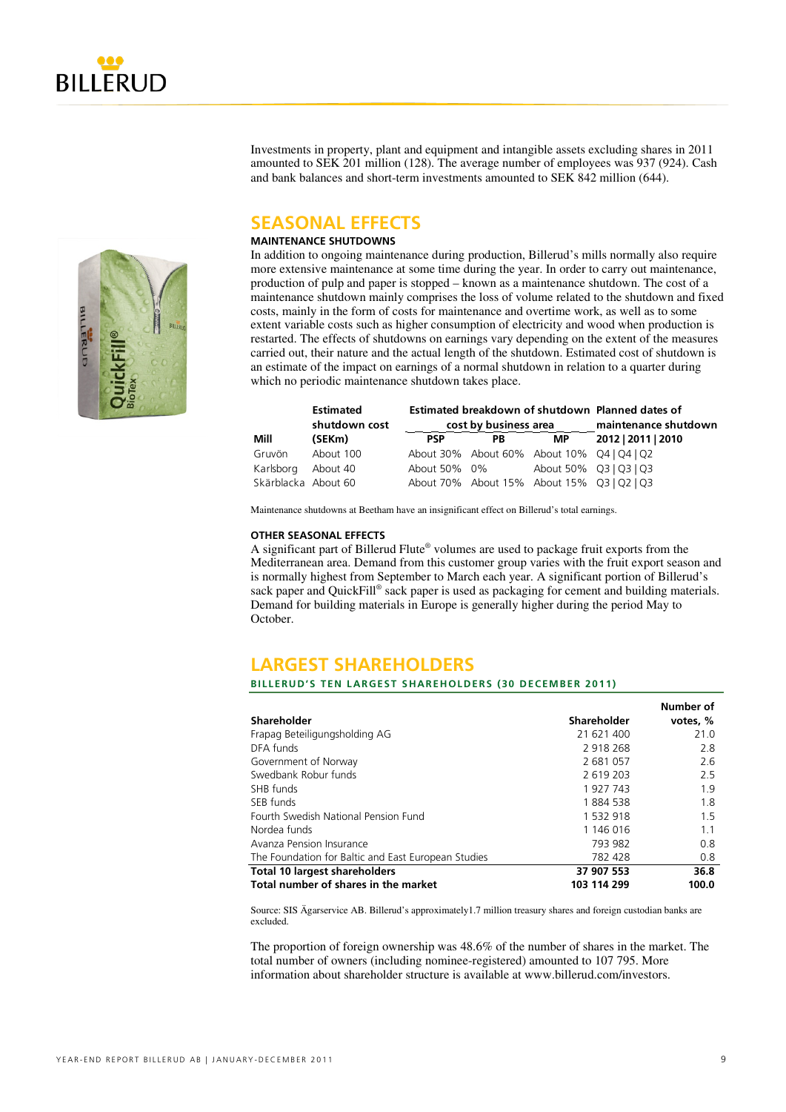

Investments in property, plant and equipment and intangible assets excluding shares in 2011 amounted to SEK 201 million (128). The average number of employees was 937 (924). Cash and bank balances and short-term investments amounted to SEK 842 million (644).

### **SEASONAL EFFECTS**

### **MAINTENANCE SHUTDOWNS**

In addition to ongoing maintenance during production, Billerud's mills normally also require more extensive maintenance at some time during the year. In order to carry out maintenance, production of pulp and paper is stopped – known as a maintenance shutdown. The cost of a maintenance shutdown mainly comprises the loss of volume related to the shutdown and fixed costs, mainly in the form of costs for maintenance and overtime work, as well as to some extent variable costs such as higher consumption of electricity and wood when production is restarted. The effects of shutdowns on earnings vary depending on the extent of the measures carried out, their nature and the actual length of the shutdown. Estimated cost of shutdown is an estimate of the impact on earnings of a normal shutdown in relation to a quarter during which no periodic maintenance shutdown takes place.

|                     | <b>Estimated</b><br>shutdown cost |              | cost by business area | Estimated breakdown of shutdown Planned dates of<br>maintenance shutdown |                                            |
|---------------------|-----------------------------------|--------------|-----------------------|--------------------------------------------------------------------------|--------------------------------------------|
| Mill                | (SEKm)                            | <b>PSP</b>   | PB                    | <b>MP</b>                                                                | 2012   2011   2010                         |
| Gruvön              | About 100                         |              |                       |                                                                          | About 30% About 60% About 10% Q4   Q4   Q2 |
| Karlsborg           | About 40                          | About 50% 0% |                       | About 50% Q3   Q3   Q3                                                   |                                            |
| Skärblacka About 60 |                                   |              |                       |                                                                          | About 70% About 15% About 15% Q3   Q2   Q3 |

Maintenance shutdowns at Beetham have an insignificant effect on Billerud's total earnings.

#### **OTHER SEASONAL EFFECTS**

A significant part of Billerud Flute® volumes are used to package fruit exports from the Mediterranean area. Demand from this customer group varies with the fruit export season and is normally highest from September to March each year. A significant portion of Billerud's sack paper and QuickFill® sack paper is used as packaging for cement and building materials. Demand for building materials in Europe is generally higher during the period May to October.

### **LARGEST SHAREHOLDERS**

#### **BILLERUD'S TEN LARGEST SHAREHOLDERS (30 DECEMBER 2011)**

|                                                     |             | Number of |
|-----------------------------------------------------|-------------|-----------|
| Shareholder                                         | Shareholder | votes, %  |
| Frapag Beteiligungsholding AG                       | 21 621 400  | 21.0      |
| DFA funds                                           | 2 918 268   | 2.8       |
| Government of Norway                                | 2 681 057   | 2.6       |
| Swedbank Robur funds                                | 2 619 203   | 2.5       |
| SHB funds                                           | 1 927 743   | 1.9       |
| SEB funds                                           | 1884 538    | 1.8       |
| Fourth Swedish National Pension Fund                | 1 532 918   | 1.5       |
| Nordea funds                                        | 1 146 016   | 1.1       |
| Avanza Pension Insurance                            | 793 982     | 0.8       |
| The Foundation for Baltic and East European Studies | 782 428     | 0.8       |
| <b>Total 10 largest shareholders</b>                | 37 907 553  | 36.8      |
| Total number of shares in the market                | 103 114 299 | 100.0     |

Source: SIS Ägarservice AB. Billerud's approximately1.7 million treasury shares and foreign custodian banks are excluded.

The proportion of foreign ownership was 48.6% of the number of shares in the market. The total number of owners (including nominee-registered) amounted to 107 795. More information about shareholder structure is available at www.billerud.com/investors.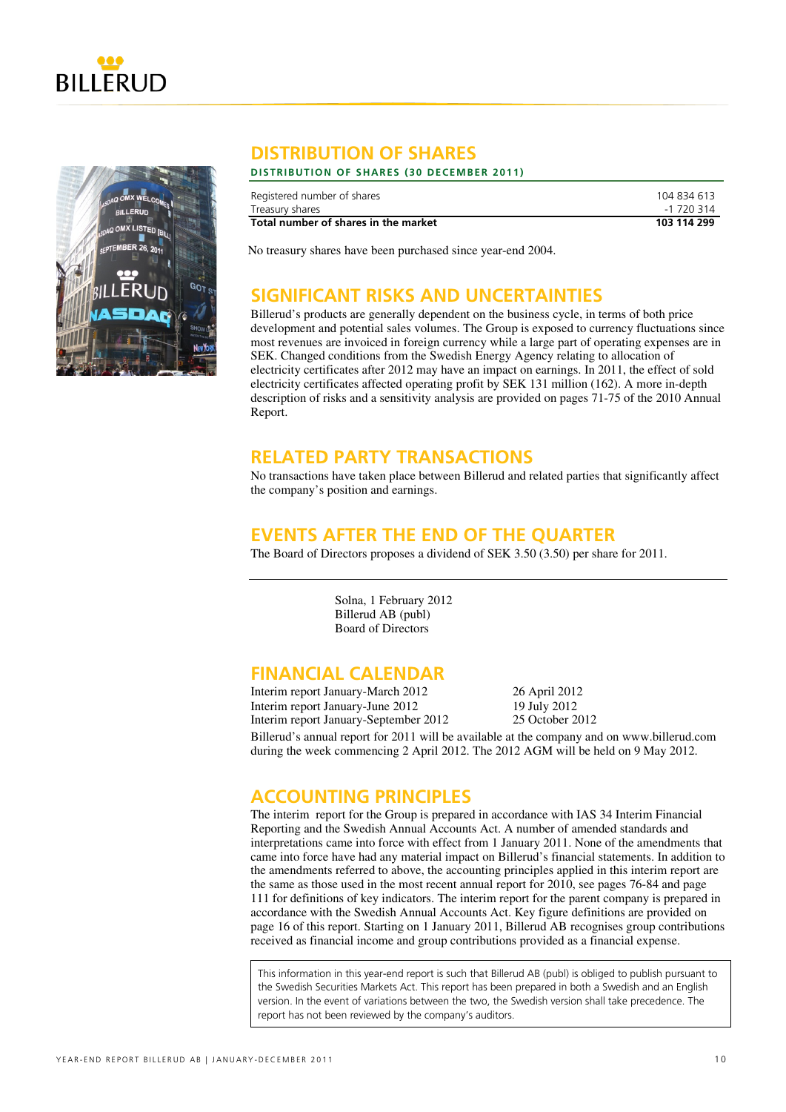



### **DISTRIBUTION OF SHARES**

### **DISTRIBUTION OF SHARES ( 30 DECEMBER 2011)**

| Registered number of shares          | 104 834 613 |
|--------------------------------------|-------------|
| Treasury shares                      | -1 720 314  |
| Total number of shares in the market | 103 114 299 |

No treasury shares have been purchased since year-end 2004.

### **SIGNIFICANT RISKS AND UNCERTAINTIES**

Billerud's products are generally dependent on the business cycle, in terms of both price development and potential sales volumes. The Group is exposed to currency fluctuations since most revenues are invoiced in foreign currency while a large part of operating expenses are in SEK. Changed conditions from the Swedish Energy Agency relating to allocation of electricity certificates after 2012 may have an impact on earnings. In 2011, the effect of sold electricity certificates affected operating profit by SEK 131 million (162). A more in-depth description of risks and a sensitivity analysis are provided on pages 71-75 of the 2010 Annual Report.

### **RELATED PARTY TRANSACTIONS**

No transactions have taken place between Billerud and related parties that significantly affect the company's position and earnings.

### **EVENTS AFTER THE END OF THE QUARTER**

The Board of Directors proposes a dividend of SEK 3.50 (3.50) per share for 2011.

Solna, 1 February 2012 Billerud AB (publ) Board of Directors

### **FINANCIAL CALENDAR**

Interim report January-March 2012 26 April 2012 Interim report January-June 2012 Interim report January-September 2012 25 October 2012

Billerud's annual report for 2011 will be available at the company and on www.billerud.com during the week commencing 2 April 2012. The 2012 AGM will be held on 9 May 2012.

### **ACCOUNTING PRINCIPLES**

The interim report for the Group is prepared in accordance with IAS 34 Interim Financial Reporting and the Swedish Annual Accounts Act. A number of amended standards and interpretations came into force with effect from 1 January 2011. None of the amendments that came into force have had any material impact on Billerud's financial statements. In addition to the amendments referred to above, the accounting principles applied in this interim report are the same as those used in the most recent annual report for 2010, see pages 76-84 and page 111 for definitions of key indicators. The interim report for the parent company is prepared in accordance with the Swedish Annual Accounts Act. Key figure definitions are provided on page 16 of this report. Starting on 1 January 2011, Billerud AB recognises group contributions received as financial income and group contributions provided as a financial expense.

This information in this year-end report is such that Billerud AB (publ) is obliged to publish pursuant to the Swedish Securities Markets Act. This report has been prepared in both a Swedish and an English version. In the event of variations between the two, the Swedish version shall take precedence. The report has not been reviewed by the company's auditors.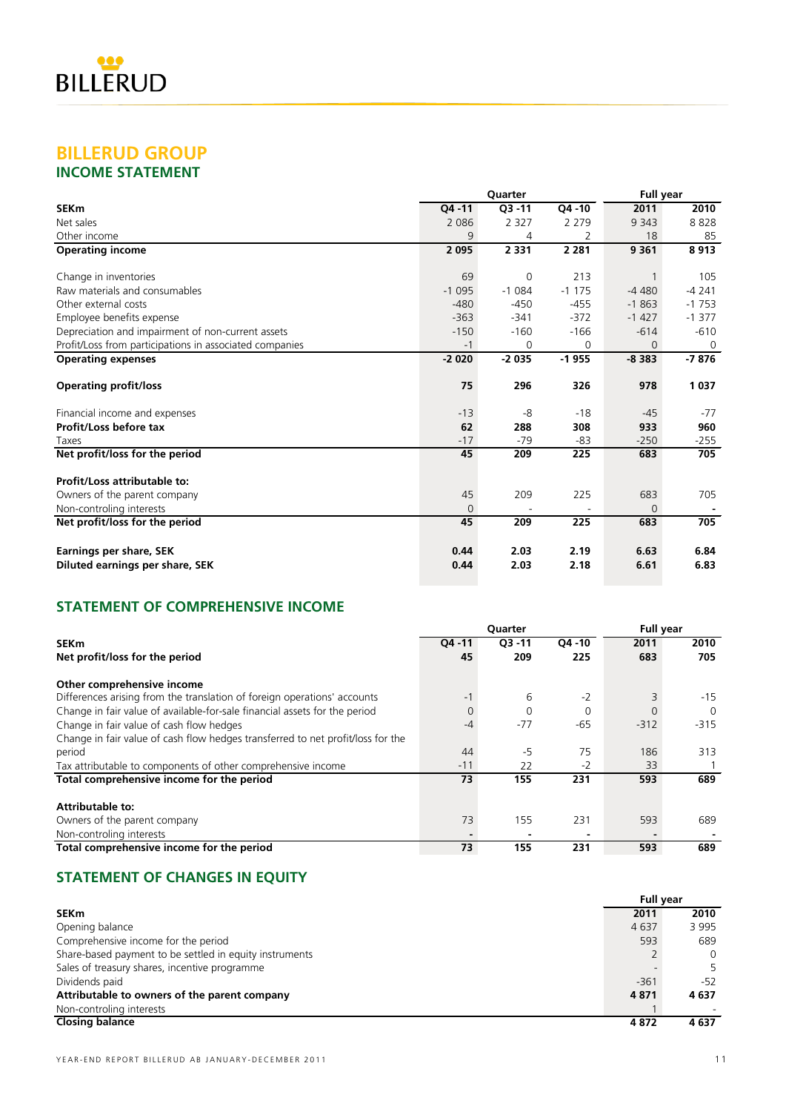### **BILLERUD GROUP INCOME STATEMENT**

|                                                         |          | Quarter   |           | <b>Full year</b> |          |
|---------------------------------------------------------|----------|-----------|-----------|------------------|----------|
| <b>SEKm</b>                                             | Q4 -11   | $O3 - 11$ | $04 - 10$ | 2011             | 2010     |
| Net sales                                               | 2 0 8 6  | 2 3 2 7   | 2 2 7 9   | 9 3 4 3          | 8828     |
| Other income                                            | 9        | 4         | 2         | 18               | 85       |
| <b>Operating income</b>                                 | 2 0 9 5  | 2 3 3 1   | 2 2 8 1   | 9 3 6 1          | 8913     |
| Change in inventories                                   | 69       | 0         | 213       | 1                | 105      |
| Raw materials and consumables                           | $-1095$  | $-1084$   | $-1175$   | $-4480$          | $-4241$  |
| Other external costs                                    | $-480$   | $-450$    | $-455$    | $-1863$          | $-1753$  |
| Employee benefits expense                               | $-363$   | $-341$    | $-372$    | $-1427$          | $-1377$  |
| Depreciation and impairment of non-current assets       | $-150$   | $-160$    | $-166$    | $-614$           | $-610$   |
| Profit/Loss from participations in associated companies | $-1$     | 0         | $\Omega$  | 0                | $\Omega$ |
| <b>Operating expenses</b>                               | $-2020$  | $-2035$   | $-1955$   | $-8383$          | $-7876$  |
| <b>Operating profit/loss</b>                            | 75       | 296       | 326       | 978              | 1037     |
| Financial income and expenses                           | $-13$    | -8        | $-18$     | $-45$            | $-77$    |
| Profit/Loss before tax                                  | 62       | 288       | 308       | 933              | 960      |
| Taxes                                                   | $-17$    | $-79$     | -83       | $-250$           | $-255$   |
| Net profit/loss for the period                          | 45       | 209       | 225       | 683              | 705      |
| Profit/Loss attributable to:                            |          |           |           |                  |          |
| Owners of the parent company                            | 45       | 209       | 225       | 683              | 705      |
| Non-controling interests                                | $\Omega$ |           |           | 0                |          |
| Net profit/loss for the period                          | 45       | 209       | 225       | 683              | 705      |
| <b>Earnings per share, SEK</b>                          | 0.44     | 2.03      | 2.19      | 6.63             | 6.84     |
| Diluted earnings per share, SEK                         | 0.44     | 2.03      | 2.18      | 6.61             | 6.83     |

### **STATEMENT OF COMPREHENSIVE INCOME**

|                                                                                 | Quarter        |           |           |        | <b>Full year</b> |  |  |
|---------------------------------------------------------------------------------|----------------|-----------|-----------|--------|------------------|--|--|
| <b>SEKm</b>                                                                     | $04 - 11$      | $Q3 - 11$ | $04 - 10$ | 2011   | 2010             |  |  |
| Net profit/loss for the period                                                  | 45             | 209       | 225       | 683    | 705              |  |  |
| Other comprehensive income                                                      |                |           |           |        |                  |  |  |
| Differences arising from the translation of foreign operations' accounts        | $-1$           | 6         | $-2$      |        | $-15$            |  |  |
| Change in fair value of available-for-sale financial assets for the period      | $\overline{0}$ | 0         | $\Omega$  |        | $\Omega$         |  |  |
| Change in fair value of cash flow hedges                                        | $-4$           | $-77$     | -65       | $-312$ | $-315$           |  |  |
| Change in fair value of cash flow hedges transferred to net profit/loss for the |                |           |           |        |                  |  |  |
| period                                                                          | 44             | $-5$      | 75        | 186    | 313              |  |  |
| Tax attributable to components of other comprehensive income                    | $-11$          | 22        | $-2$      | 33     |                  |  |  |
| Total comprehensive income for the period                                       | 73             | 155       | 231       | 593    | 689              |  |  |
| <b>Attributable to:</b>                                                         |                |           |           |        |                  |  |  |
| Owners of the parent company                                                    | 73             | 155       | 231       | 593    | 689              |  |  |
| Non-controling interests                                                        |                |           |           |        |                  |  |  |
| Total comprehensive income for the period                                       | 73             | 155       | 231       | 593    | 689              |  |  |

# **STATEMENT OF CHANGES IN EQUITY**

|                                                         | <b>Full year</b> |          |  |  |
|---------------------------------------------------------|------------------|----------|--|--|
| <b>SEKm</b>                                             | 2011             | 2010     |  |  |
| Opening balance                                         | 4637             | 3 9 9 5  |  |  |
| Comprehensive income for the period                     | 593              | 689      |  |  |
| Share-based payment to be settled in equity instruments |                  | $\Omega$ |  |  |
| Sales of treasury shares, incentive programme           |                  |          |  |  |
| Dividends paid                                          | $-361$           | $-52$    |  |  |
| Attributable to owners of the parent company            | 4 8 7 1          | 4637     |  |  |
| Non-controling interests                                |                  |          |  |  |
| <b>Closing balance</b>                                  | 4872             | 4637     |  |  |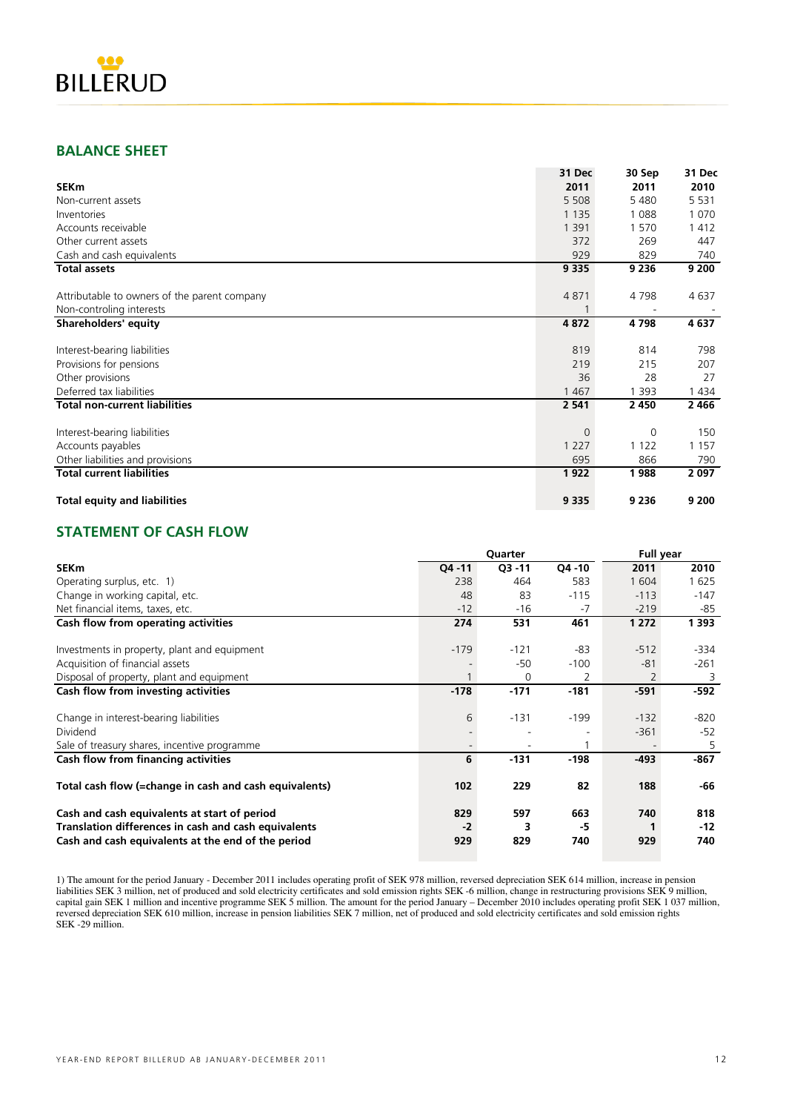

### **BALANCE SHEET**

|                                              | 31 Dec   | 30 Sep  | 31 Dec  |
|----------------------------------------------|----------|---------|---------|
| <b>SEKm</b>                                  | 2011     | 2011    | 2010    |
| Non-current assets                           | 5 5 0 8  | 5480    | 5 5 3 1 |
| Inventories                                  | 1 1 3 5  | 1088    | 1 0 7 0 |
| Accounts receivable                          | 1 3 9 1  | 1570    | 1412    |
| Other current assets                         | 372      | 269     | 447     |
| Cash and cash equivalents                    | 929      | 829     | 740     |
| <b>Total assets</b>                          | 9 3 3 5  | 9 2 3 6 | 9 200   |
| Attributable to owners of the parent company | 4871     | 4798    | 4 6 3 7 |
| Non-controling interests                     |          |         |         |
| <b>Shareholders' equity</b>                  | 4872     | 4798    | 4 6 3 7 |
| Interest-bearing liabilities                 | 819      | 814     | 798     |
| Provisions for pensions                      | 219      | 215     | 207     |
| Other provisions                             | 36       | 28      | 27      |
| Deferred tax liabilities                     | 1 4 6 7  | 1 3 9 3 | 1434    |
| <b>Total non-current liabilities</b>         | 2 5 4 1  | 2 4 5 0 | 2466    |
| Interest-bearing liabilities                 | $\Omega$ | 0       | 150     |
| Accounts payables                            | 1 2 2 7  | 1 1 2 2 | 1 1 5 7 |
| Other liabilities and provisions             | 695      | 866     | 790     |
| <b>Total current liabilities</b>             | 1922     | 1988    | 2 0 9 7 |
| <b>Total equity and liabilities</b>          | 9 3 3 5  | 9 2 3 6 | 9 200   |

### **STATEMENT OF CASH FLOW**

|                                                        |        | Quarter   |         | <b>Full year</b> |         |
|--------------------------------------------------------|--------|-----------|---------|------------------|---------|
| <b>SEKm</b>                                            | Q4 -11 | $Q3 - 11$ | Q4 - 10 | 2011             | 2010    |
| Operating surplus, etc. 1)                             | 238    | 464       | 583     | 1 604            | 1625    |
| Change in working capital, etc.                        | 48     | 83        | $-115$  | $-113$           | $-147$  |
| Net financial items, taxes, etc.                       | $-12$  | $-16$     | $-7$    | $-219$           | -85     |
| Cash flow from operating activities                    | 274    | 531       | 461     | 1 2 7 2          | 1 3 9 3 |
|                                                        |        |           |         |                  |         |
| Investments in property, plant and equipment           | $-179$ | $-121$    | -83     | $-512$           | $-334$  |
| Acquisition of financial assets                        |        | -50       | $-100$  | $-81$            | $-261$  |
| Disposal of property, plant and equipment              | 1      | 0         | 2       | 2                | 3       |
| Cash flow from investing activities                    | $-178$ | $-171$    | $-181$  | $-591$           | $-592$  |
|                                                        |        |           |         |                  |         |
| Change in interest-bearing liabilities                 | 6      | $-131$    | $-199$  | $-132$           | $-820$  |
| Dividend                                               |        |           |         | $-361$           | $-52$   |
| Sale of treasury shares, incentive programme           |        |           |         |                  | 5       |
| Cash flow from financing activities                    | 6      | $-131$    | $-198$  | -493             | -867    |
| Total cash flow (=change in cash and cash equivalents) | 102    | 229       | 82      | 188              | -66     |
| Cash and cash equivalents at start of period           | 829    | 597       | 663     | 740              | 818     |
| Translation differences in cash and cash equivalents   | $-2$   | 3         | -5      |                  | $-12$   |
| Cash and cash equivalents at the end of the period     | 929    | 829       | 740     | 929              | 740     |

1) The amount for the period January - December 2011 includes operating profit of SEK 978 million, reversed depreciation SEK 614 million, increase in pension liabilities SEK 3 million, net of produced and sold electricity certificates and sold emission rights SEK -6 million, change in restructuring provisions SEK 9 million, capital gain SEK 1 million and incentive programme SEK 5 million. The amount for the period January – December 2010 includes operating profit SEK 1 037 million, reversed depreciation SEK 610 million, increase in pension liabilities SEK 7 million, net of produced and sold electricity certificates and sold emission rights SEK -29 million.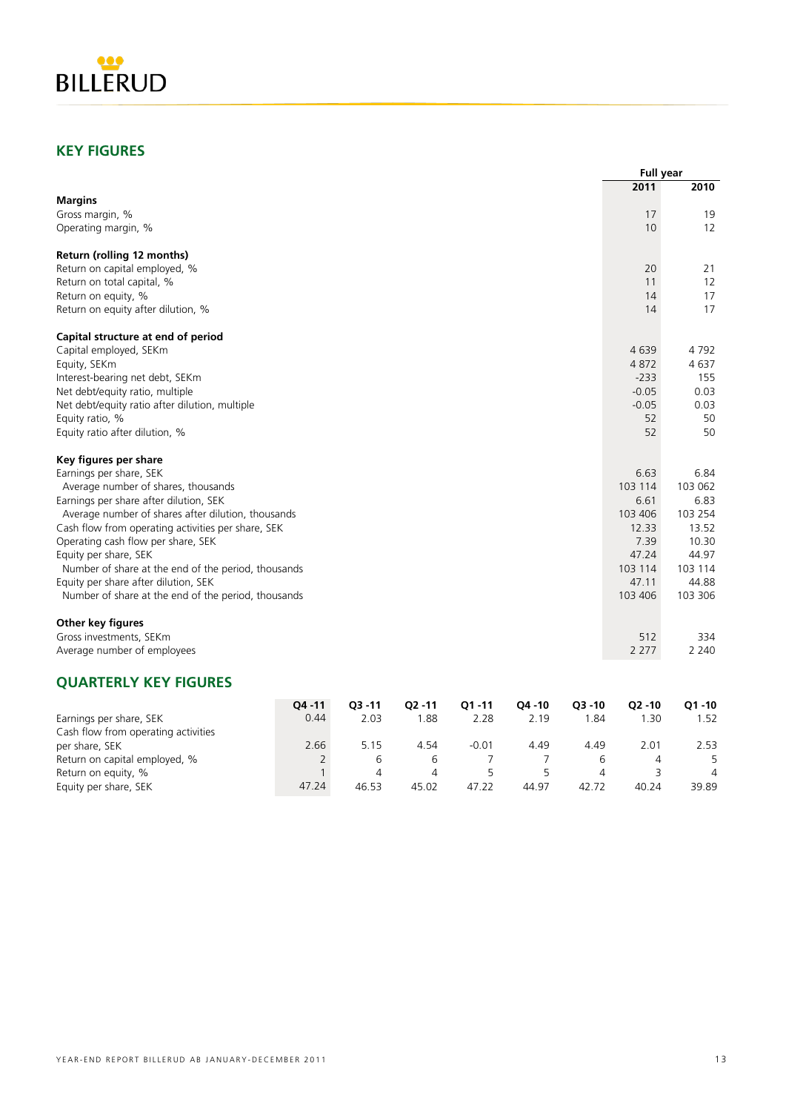

### **KEY FIGURES**

Equity per share, SEK

|                                                     |              |                |                |           |           |                | <b>Full year</b> |           |  |
|-----------------------------------------------------|--------------|----------------|----------------|-----------|-----------|----------------|------------------|-----------|--|
|                                                     |              |                |                |           |           |                | 2011             | 2010      |  |
| <b>Margins</b>                                      |              |                |                |           |           |                |                  |           |  |
| Gross margin, %                                     |              |                |                |           |           |                | 17               | 19        |  |
| Operating margin, %                                 |              |                |                |           |           |                | 10               | 12        |  |
| Return (rolling 12 months)                          |              |                |                |           |           |                |                  |           |  |
| Return on capital employed, %                       |              |                |                |           |           |                | 20               | 21        |  |
| Return on total capital, %                          |              |                |                |           |           |                | 11               | 12        |  |
| Return on equity, %                                 |              |                |                |           |           |                | 14               | 17        |  |
| Return on equity after dilution, %                  |              |                |                |           |           |                | 14               | 17        |  |
| Capital structure at end of period                  |              |                |                |           |           |                |                  |           |  |
| Capital employed, SEKm                              |              |                |                |           |           |                | 4639             | 4 792     |  |
| Equity, SEKm                                        |              |                |                |           |           |                | 4872             | 4637      |  |
| Interest-bearing net debt, SEKm                     |              |                |                |           |           |                | $-233$           | 155       |  |
| Net debt/equity ratio, multiple                     |              |                |                |           |           |                | $-0.05$          | 0.03      |  |
| Net debt/equity ratio after dilution, multiple      |              |                |                |           |           |                | $-0.05$          | 0.03      |  |
| Equity ratio, %                                     |              |                |                |           |           |                | 52               | 50        |  |
| Equity ratio after dilution, %                      |              |                |                |           |           |                | 52               | 50        |  |
| Key figures per share                               |              |                |                |           |           |                |                  |           |  |
| Earnings per share, SEK                             |              |                |                |           |           |                | 6.63             | 6.84      |  |
| Average number of shares, thousands                 |              |                |                |           |           |                | 103 114          | 103 062   |  |
| Earnings per share after dilution, SEK              |              |                |                |           |           |                | 6.61             | 6.83      |  |
| Average number of shares after dilution, thousands  |              |                |                |           |           |                | 103 406          | 103 254   |  |
| Cash flow from operating activities per share, SEK  |              |                |                |           |           |                | 12.33            | 13.52     |  |
| Operating cash flow per share, SEK                  |              |                |                |           |           |                | 7.39             | 10.30     |  |
| Equity per share, SEK                               |              |                |                |           |           |                | 47.24            | 44.97     |  |
| Number of share at the end of the period, thousands |              |                |                |           |           |                | 103 114          | 103 114   |  |
| Equity per share after dilution, SEK                |              |                |                |           |           |                | 47.11            | 44.88     |  |
| Number of share at the end of the period, thousands |              |                |                |           |           |                | 103 406          | 103 306   |  |
|                                                     |              |                |                |           |           |                |                  |           |  |
| Other key figures                                   |              |                |                |           |           |                |                  |           |  |
| Gross investments, SEKm                             |              |                |                |           |           |                | 512              | 334       |  |
| Average number of employees                         |              |                |                |           |           |                | 2 2 7 7          | 2 2 4 0   |  |
| <b>QUARTERLY KEY FIGURES</b>                        |              |                |                |           |           |                |                  |           |  |
|                                                     | Q4 -11       | $Q3 - 11$      | $Q2 - 11$      | $Q1 - 11$ | $Q4 - 10$ | $Q3 - 10$      | $Q2 - 10$        | $Q1 - 10$ |  |
| Earnings per share, SEK                             | 0.44         | 2.03           | 1.88           | 2.28      | 2.19      | 1.84           | 1.30             | 1.52      |  |
| Cash flow from operating activities                 |              |                |                |           |           |                |                  |           |  |
| per share, SEK                                      | 2.66         | 5.15           | 4.54           | $-0.01$   | 4.49      | 4.49           | 2.01             | 2.53      |  |
| Return on capital employed, %                       | 2            | 6              | 6              | 7         | 7         | 6              | 4                | 5         |  |
| Return on equity, %                                 | $\mathbf{1}$ | $\overline{4}$ | $\overline{4}$ | 5         | 5         | $\overline{4}$ | 3                | 4         |  |

Return on equity, %<br>
Return on equity, % 1 4 4 5 5 4 3 4<br>
Equity per share, SEK 4 47.24 46.53 45.02 47.22 44.97 42.72 40.24 39.89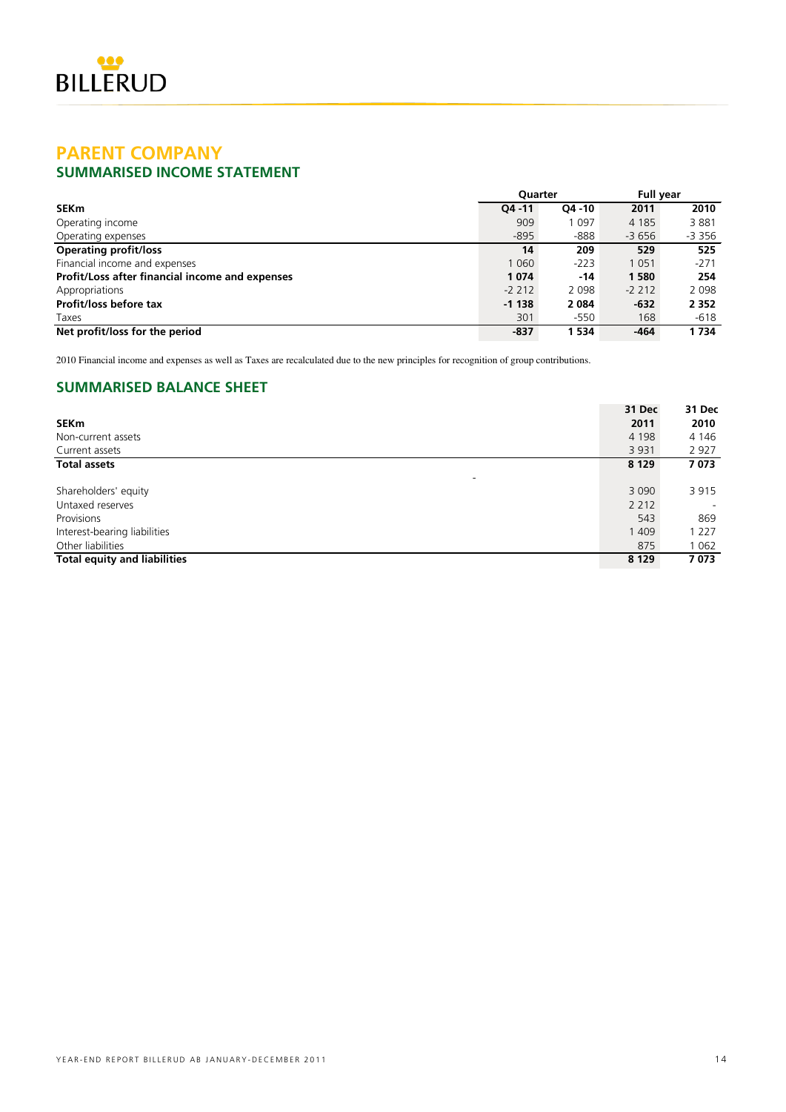

### **PARENT COMPANY SUMMARISED INCOME STATEMENT**

|                                                 | <b>Ouarter</b> |           | <b>Full year</b> |         |  |
|-------------------------------------------------|----------------|-----------|------------------|---------|--|
| <b>SEKm</b>                                     | $04 - 11$      | $O4 - 10$ | 2011             | 2010    |  |
| Operating income                                | 909            | 1 0 9 7   | 4 1 8 5          | 3881    |  |
| Operating expenses                              | $-895$         | $-888$    | $-3656$          | -3 356  |  |
| <b>Operating profit/loss</b>                    | 14             | 209       | 529              | 525     |  |
| Financial income and expenses                   | 1 0 6 0        | $-223$    | 1 0 5 1          | $-271$  |  |
| Profit/Loss after financial income and expenses | 1074           | $-14$     | 1580             | 254     |  |
| Appropriations                                  | $-2212$        | 2 0 9 8   | $-2, 212$        | 2 0 9 8 |  |
| Profit/loss before tax                          | $-1138$        | 2 0 8 4   | $-632$           | 2 3 5 2 |  |
| Taxes                                           | 301            | $-550$    | 168              | $-618$  |  |
| Net profit/loss for the period                  | $-837$         | 1 5 3 4   | $-464$           | 1734    |  |

2010 Financial income and expenses as well as Taxes are recalculated due to the new principles for recognition of group contributions.

### **SUMMARISED BALANCE SHEET**

|                                     | 31 Dec  | 31 Dec  |
|-------------------------------------|---------|---------|
| SEKm                                | 2011    | 2010    |
| Non-current assets                  | 4 1 9 8 | 4 14 6  |
| Current assets                      | 3 9 3 1 | 2 9 2 7 |
| <b>Total assets</b>                 | 8 1 2 9 | 7073    |
| -                                   |         |         |
| Shareholders' equity                | 3 0 9 0 | 3915    |
| Untaxed reserves                    | 2 2 1 2 |         |
| Provisions                          | 543     | 869     |
| Interest-bearing liabilities        | 1 409   | 1 2 2 7 |
| Other liabilities                   | 875     | 1 0 6 2 |
| <b>Total equity and liabilities</b> | 8 1 2 9 | 7073    |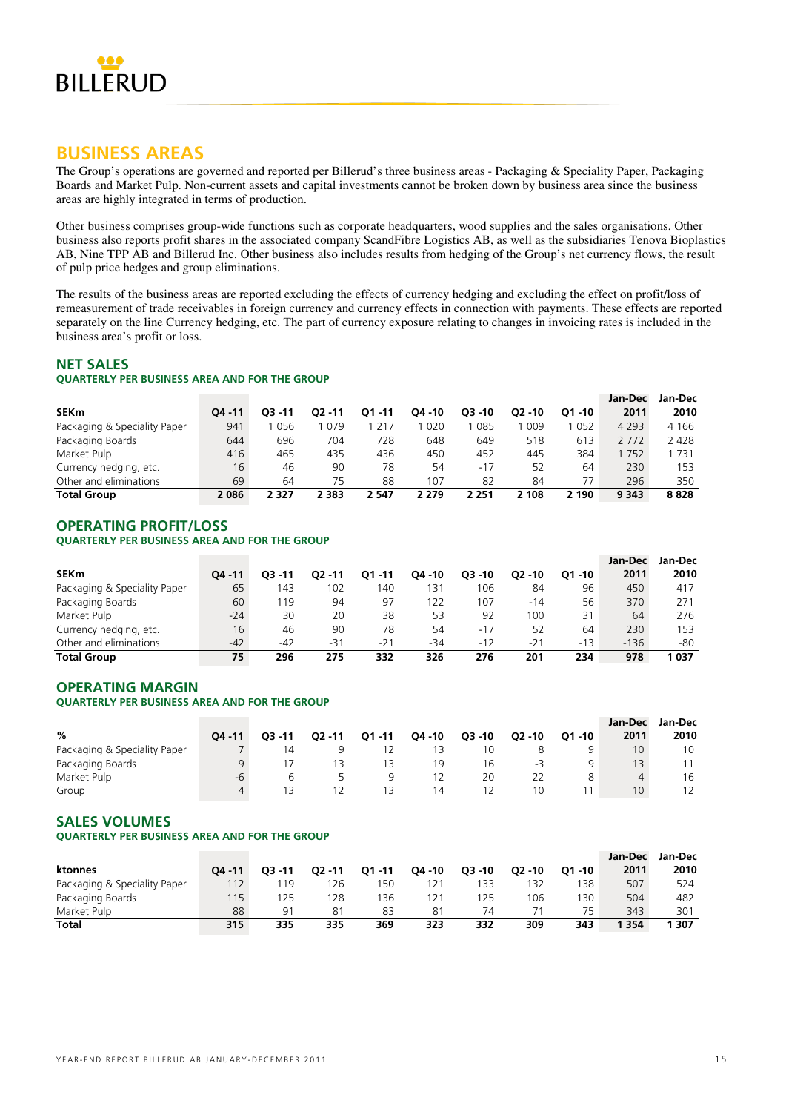

### **BUSINESS AREAS**

The Group's operations are governed and reported per Billerud's three business areas - Packaging & Speciality Paper, Packaging Boards and Market Pulp. Non-current assets and capital investments cannot be broken down by business area since the business areas are highly integrated in terms of production.

Other business comprises group-wide functions such as corporate headquarters, wood supplies and the sales organisations. Other business also reports profit shares in the associated company ScandFibre Logistics AB, as well as the subsidiaries Tenova Bioplastics AB, Nine TPP AB and Billerud Inc. Other business also includes results from hedging of the Group's net currency flows, the result of pulp price hedges and group eliminations.

The results of the business areas are reported excluding the effects of currency hedging and excluding the effect on profit/loss of remeasurement of trade receivables in foreign currency and currency effects in connection with payments. These effects are reported separately on the line Currency hedging, etc. The part of currency exposure relating to changes in invoicing rates is included in the business area's profit or loss.

### **NET SALES**

### **QUARTERLY PER BUSINESS AREA AND FOR THE GROUP**

|                              |           |           |         |           |         |           |           |           | Jan-Dec | Jan-Dec |
|------------------------------|-----------|-----------|---------|-----------|---------|-----------|-----------|-----------|---------|---------|
| <b>SEKm</b>                  | $04 - 11$ | $03 - 11$ | 02 - 11 | $01 - 11$ | Q4 - 10 | $O3 - 10$ | $02 - 10$ | $O1 - 10$ | 2011    | 2010    |
| Packaging & Speciality Paper | 941       | 056       | 079     | 217       | 020     | 085       | 009       | 052       | 4 2 9 3 | 4 1 6 6 |
| Packaging Boards             | 644       | 696       | 704     | 728       | 648     | 649       | 518       | 613       | 2 7 7 2 | 2 4 2 8 |
| Market Pulp                  | 416       | 465       | 435     | 436       | 450     | 452       | 445       | 384       | 752     | 731     |
| Currency hedging, etc.       | 16        | 46        | 90      | 78        | 54      | $-17$     | 52        | 64        | 230     | 153     |
| Other and eliminations       | 69        | 64        | 75      | 88        | 107     | 82        | 84        | 77        | 296     | 350     |
| <b>Total Group</b>           | 2086      | 2 3 2 7   | 2 383   | 547       | 2 2 7 9 | 2 251     | 2 108     | 2 190     | 9 3 4 3 | 8828    |

### **OPERATING PROFIT/LOSS**

### **QUARTERLY PER BUSINESS AREA AND FOR THE GROUP**

|                              |         |           |           |       |        |           |           |           | Jan-Dec | Jan-Dec |
|------------------------------|---------|-----------|-----------|-------|--------|-----------|-----------|-----------|---------|---------|
| <b>SEKm</b>                  | 04 - 11 | $03 - 11$ | $O2 - 11$ | 01-11 | O4 -10 | $O3 - 10$ | $O2 - 10$ | $O1 - 10$ | 2011    | 2010    |
| Packaging & Speciality Paper | 65      | 143       | 102       | 140   | 31     | 106       | 84        | 96        | 450     | 417     |
| Packaging Boards             | 60      | 119       | 94        | 97    | 122    | 107       | $-14$     | 56        | 370     | 271     |
| Market Pulp                  | $-24$   | 30        | 20        | 38    | 53     | 92        | 100       | 31        | 64      | 276     |
| Currency hedging, etc.       | 16      | 46        | 90        | 78    | 54     | $-17$     | 52        | 64        | 230     | 153     |
| Other and eliminations       | $-42$   | -42       | -31       | $-21$ | $-34$  | $-12$     | $-21$     | $-13$     | $-136$  | -80     |
| <b>Total Group</b>           | 75      | 296       | 275       | 332   | 326    | 276       | 201       | 234       | 978     | 037     |

### **OPERATING MARGIN**

### **QUARTERLY PER BUSINESS AREA AND FOR THE GROUP**

|                              |           |           |           |           |         |           |           |           | Jan-Dec | Jan-Dec |
|------------------------------|-----------|-----------|-----------|-----------|---------|-----------|-----------|-----------|---------|---------|
| %                            | $04 - 11$ | $O3 - 11$ | $Q2 - 11$ | $Q1 - 11$ | Q4 - 10 | $Q3 - 10$ | $Q2 - 10$ | $O1 - 10$ | 2011    | 2010    |
| Packaging & Speciality Paper |           |           |           |           |         |           |           | q         | 10      | 10      |
| Packaging Boards             |           |           |           |           | 19      | 16        | -3        | a         | 13      |         |
| Market Pulp                  | -b        |           |           |           |         | 20        |           | 8         | 4       | 16      |
| Group                        |           |           |           |           | 14      |           | 10        |           | 10      |         |

### **SALES VOLUMES**

### **QUARTERLY PER BUSINESS AREA AND FOR THE GROUP**

|                              |           |           |           |           |           |           |           |           | Jan-Dec | Jan-Dec |
|------------------------------|-----------|-----------|-----------|-----------|-----------|-----------|-----------|-----------|---------|---------|
| ktonnes                      | $04 - 11$ | $O3 - 11$ | $O2 - 11$ | $O1 - 11$ | $04 - 10$ | $O3 - 10$ | $O2 - 10$ | $O1 - 10$ | 2011    | 2010    |
| Packaging & Speciality Paper | 112       | 19        | 126       | 150       | 121       | 133       | 132       | 138       | 507     | 524     |
| Packaging Boards             | 115       | '25       | 128       | 136       | 121       | 125       | 106       | 130       | 504     | 482     |
| Market Pulp                  | 88        | 91        | 81        | 83        | 81        | 74        |           | 75        | 343     | 301     |
| Total                        | 315       | 335       | 335       | 369       | 323       | 332       | 309       | 343       | 354     | 307     |